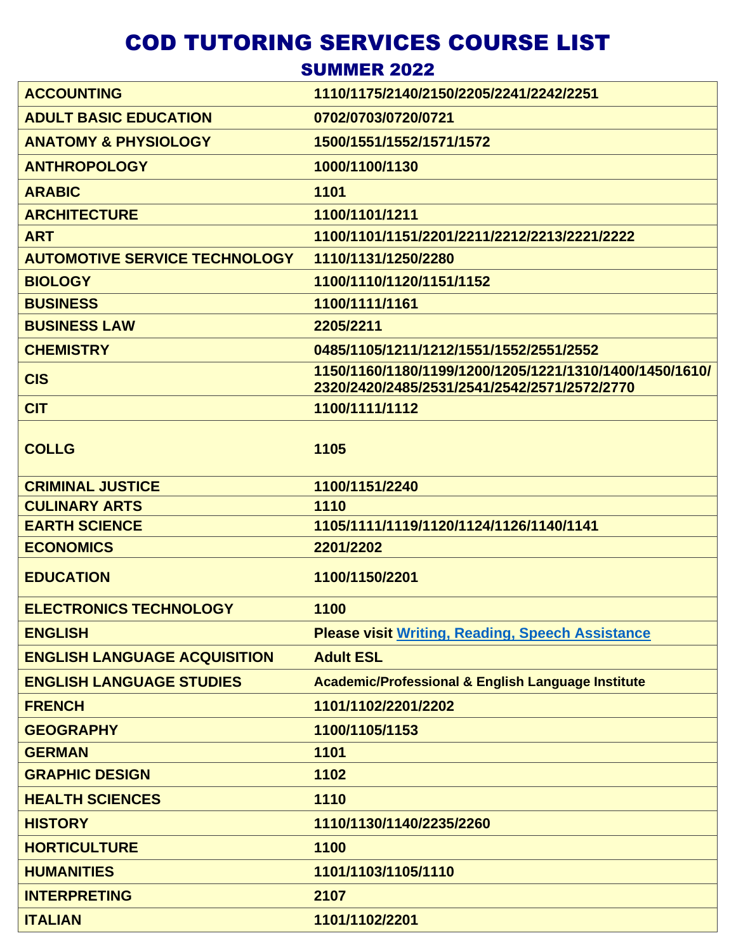## COD TUTORING SERVICES COURSE LIST

**SUMMER 2022** 

| <b>ACCOUNTING</b>                    | 1110/1175/2140/2150/2205/2241/2242/2251                                                                 |
|--------------------------------------|---------------------------------------------------------------------------------------------------------|
| <b>ADULT BASIC EDUCATION</b>         | 0702/0703/0720/0721                                                                                     |
| <b>ANATOMY &amp; PHYSIOLOGY</b>      | 1500/1551/1552/1571/1572                                                                                |
| <b>ANTHROPOLOGY</b>                  | 1000/1100/1130                                                                                          |
| <b>ARABIC</b>                        | 1101                                                                                                    |
| <b>ARCHITECTURE</b>                  | 1100/1101/1211                                                                                          |
| <b>ART</b>                           | 1100/1101/1151/2201/2211/2212/2213/2221/2222                                                            |
| <b>AUTOMOTIVE SERVICE TECHNOLOGY</b> | 1110/1131/1250/2280                                                                                     |
| <b>BIOLOGY</b>                       | 1100/1110/1120/1151/1152                                                                                |
| <b>BUSINESS</b>                      | 1100/1111/1161                                                                                          |
| <b>BUSINESS LAW</b>                  | 2205/2211                                                                                               |
| <b>CHEMISTRY</b>                     | 0485/1105/1211/1212/1551/1552/2551/2552                                                                 |
| <b>CIS</b>                           | 1150/1160/1180/1199/1200/1205/1221/1310/1400/1450/1610/<br>2320/2420/2485/2531/2541/2542/2571/2572/2770 |
| <b>CIT</b>                           | 1100/1111/1112                                                                                          |
| <b>COLLG</b>                         | 1105                                                                                                    |
| <b>CRIMINAL JUSTICE</b>              | 1100/1151/2240                                                                                          |
| <b>CULINARY ARTS</b>                 | 1110                                                                                                    |
| <b>EARTH SCIENCE</b>                 | 1105/1111/1119/1120/1124/1126/1140/1141                                                                 |
| <b>ECONOMICS</b>                     | 2201/2202                                                                                               |
| <b>EDUCATION</b>                     | 1100/1150/2201                                                                                          |
| <b>ELECTRONICS TECHNOLOGY</b>        | 1100                                                                                                    |
| <b>ENGLISH</b>                       | <b>Please visit Writing, Reading, Speech Assistance</b>                                                 |
| <b>ENGLISH LANGUAGE ACQUISITION</b>  | <b>Adult ESL</b>                                                                                        |
| <b>ENGLISH LANGUAGE STUDIES</b>      | <b>Academic/Professional &amp; English Language Institute</b>                                           |
| <b>FRENCH</b>                        | 1101/1102/2201/2202                                                                                     |
| <b>GEOGRAPHY</b>                     | 1100/1105/1153                                                                                          |
| <b>GERMAN</b>                        | 1101                                                                                                    |
| <b>GRAPHIC DESIGN</b>                | 1102                                                                                                    |
| <b>HEALTH SCIENCES</b>               | 1110                                                                                                    |
| <b>HISTORY</b>                       | 1110/1130/1140/2235/2260                                                                                |
| <b>HORTICULTURE</b>                  | 1100                                                                                                    |
| <b>HUMANITIES</b>                    | 1101/1103/1105/1110                                                                                     |
| <b>INTERPRETING</b>                  | 2107                                                                                                    |
| <b>ITALIAN</b>                       | 1101/1102/2201                                                                                          |